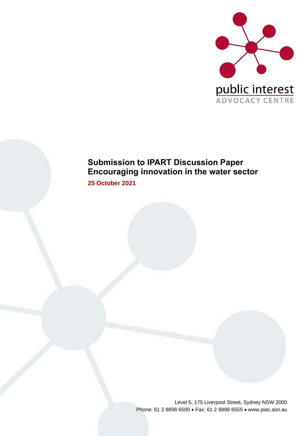

# **Submission to IPART Discussion Paper Encouraging innovation in the water sector**

**25 October 2021**

Level 5, 175 Liverpool Street, Sydney NSW 2000 Phone: 61 2 8898 6500 • Fax: 61 2 8898 6555 • www.piac.asn.au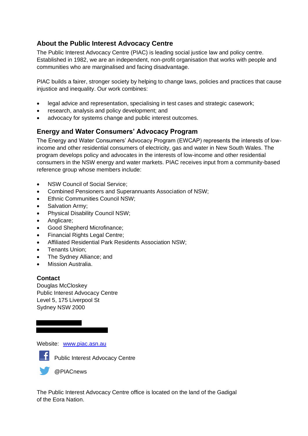## **About the Public Interest Advocacy Centre**

The Public Interest Advocacy Centre (PIAC) is leading social justice law and policy centre. Established in 1982, we are an independent, non-profit organisation that works with people and communities who are marginalised and facing disadvantage.

PIAC builds a fairer, stronger society by helping to change laws, policies and practices that cause injustice and inequality. Our work combines:

- legal advice and representation, specialising in test cases and strategic casework;
- research, analysis and policy development; and
- advocacy for systems change and public interest outcomes.

## **Energy and Water Consumers' Advocacy Program**

The Energy and Water Consumers' Advocacy Program (EWCAP) represents the interests of lowincome and other residential consumers of electricity, gas and water in New South Wales. The program develops policy and advocates in the interests of low-income and other residential consumers in the NSW energy and water markets. PIAC receives input from a community-based reference group whose members include:

- NSW Council of Social Service;
- Combined Pensioners and Superannuants Association of NSW;
- Ethnic Communities Council NSW;
- Salvation Army;
- Physical Disability Council NSW;
- Anglicare;
- Good Shepherd Microfinance;
- Financial Rights Legal Centre;
- Affiliated Residential Park Residents Association NSW;
- Tenants Union;
- The Sydney Alliance; and
- Mission Australia.

### **Contact**

Douglas McCloskey Public Interest Advocacy Centre Level 5, 175 Liverpool St Sydney NSW 2000

Website: [www.piac.asn.au](http://www.piac.asn.au/)



**F** Public Interest Advocacy Centre

@PIACnews

The Public Interest Advocacy Centre office is located on the land of the Gadigal of the Eora Nation.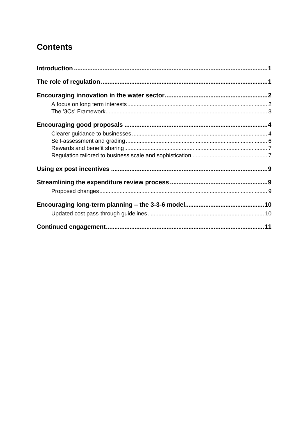# **Contents**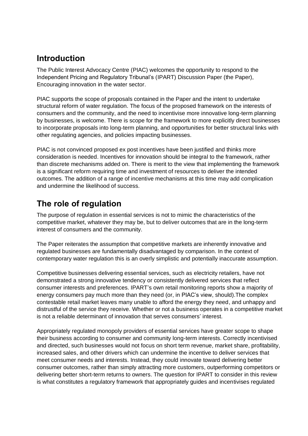## **Introduction**

The Public Interest Advocacy Centre (PIAC) welcomes the opportunity to respond to the Independent Pricing and Regulatory Tribunal's (IPART) Discussion Paper (the Paper), Encouraging innovation in the water sector.

PIAC supports the scope of proposals contained in the Paper and the intent to undertake structural reform of water regulation. The focus of the proposed framework on the interests of consumers and the community, and the need to incentivise more innovative long-term planning by businesses, is welcome. There is scope for the framework to more explicitly direct businesses to incorporate proposals into long-term planning, and opportunities for better structural links with other regulating agencies, and policies impacting businesses.

PIAC is not convinced proposed ex post incentives have been justified and thinks more consideration is needed. Incentives for innovation should be integral to the framework, rather than discrete mechanisms added on. There is merit to the view that implementing the framework is a significant reform requiring time and investment of resources to deliver the intended outcomes. The addition of a range of incentive mechanisms at this time may add complication and undermine the likelihood of success.

## **The role of regulation**

The purpose of regulation in essential services is not to mimic the characteristics of the competitive market, whatever they may be, but to deliver outcomes that are in the long-term interest of consumers and the community.

The Paper reiterates the assumption that competitive markets are inherently innovative and regulated businesses are fundamentally disadvantaged by comparison. In the context of contemporary water regulation this is an overly simplistic and potentially inaccurate assumption.

Competitive businesses delivering essential services, such as electricity retailers, have not demonstrated a strong innovative tendency or consistently delivered services that reflect consumer interests and preferences. IPART's own retail monitoring reports show a majority of energy consumers pay much more than they need (or, in PIAC's view, should).The complex contestable retail market leaves many unable to afford the energy they need, and unhappy and distrustful of the service they receive. Whether or not a business operates in a competitive market is not a reliable determinant of innovation that serves consumers' interest.

Appropriately regulated monopoly providers of essential services have greater scope to shape their business according to consumer and community long-term interests. Correctly incentivised and directed, such businesses would not focus on short term revenue, market share, profitability, increased sales, and other drivers which can undermine the incentive to deliver services that meet consumer needs and interests. Instead, they could innovate toward delivering better consumer outcomes, rather than simply attracting more customers, outperforming competitors or delivering better short-term returns to owners. The question for IPART to consider in this review is what constitutes a regulatory framework that appropriately guides and incentivises regulated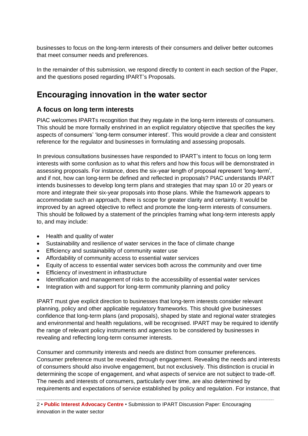businesses to focus on the long-term interests of their consumers and deliver better outcomes that meet consumer needs and preferences.

In the remainder of this submission, we respond directly to content in each section of the Paper, and the questions posed regarding IPART's Proposals.

## **Encouraging innovation in the water sector**

## **A focus on long term interests**

PIAC welcomes IPARTs recognition that they regulate in the long-term interests of consumers. This should be more formally enshrined in an explicit regulatory objective that specifies the key aspects of consumers' 'long-term consumer interest'. This would provide a clear and consistent reference for the regulator and businesses in formulating and assessing proposals.

In previous consultations businesses have responded to IPART's intent to focus on long term interests with some confusion as to what this refers and how this focus will be demonstrated in assessing proposals. For instance, does the six-year length of proposal represent 'long-term', and if not, how can long-term be defined and reflected in proposals? PIAC understands IPART intends businesses to develop long term plans and strategies that may span 10 or 20 years or more and integrate their six-year proposals into those plans. While the framework appears to accommodate such an approach, there is scope for greater clarity and certainty. It would be improved by an agreed objective to reflect and promote the long-term interests of consumers. This should be followed by a statement of the principles framing what long-term interests apply to, and may include:

- Health and quality of water
- Sustainability and resilience of water services in the face of climate change
- Efficiency and sustainability of community water use
- Affordability of community access to essential water services
- Equity of access to essential water services both across the community and over time
- Efficiency of investment in infrastructure
- Identification and management of risks to the accessibility of essential water services
- Integration with and support for long-term community planning and policy

IPART must give explicit direction to businesses that long-term interests consider relevant planning, policy and other applicable regulatory frameworks. This should give businesses confidence that long-term plans (and proposals), shaped by state and regional water strategies and environmental and health regulations, will be recognised. IPART may be required to identify the range of relevant policy instruments and agencies to be considered by businesses in revealing and reflecting long-term consumer interests.

Consumer and community interests and needs are distinct from consumer preferences. Consumer preference must be revealed through engagement. Revealing the needs and interests of consumers should also involve engagement, but not exclusively. This distinction is crucial in determining the scope of engagement, and what aspects of service are not subject to trade-off. The needs and interests of consumers, particularly over time, are also determined by requirements and expectations of service established by policy and regulation. For instance, that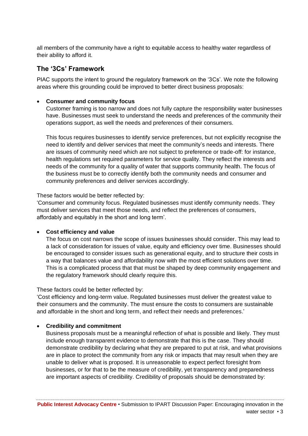all members of the community have a right to equitable access to healthy water regardless of their ability to afford it.

### **The '3Cs' Framework**

PIAC supports the intent to ground the regulatory framework on the '3Cs'. We note the following areas where this grounding could be improved to better direct business proposals:

#### • **Consumer and community focus**

Customer framing is too narrow and does not fully capture the responsibility water businesses have. Businesses must seek to understand the needs and preferences of the community their operations support, as well the needs and preferences of their consumers.

This focus requires businesses to identify service preferences, but not explicitly recognise the need to identify and deliver services that meet the community's needs and interests. There are issues of community need which are not subject to preference or trade-off: for instance, health regulations set required parameters for service quality. They reflect the interests and needs of the community for a quality of water that supports community health. The focus of the business must be to correctly identify both the community needs and consumer and community preferences and deliver services accordingly.

These factors would be better reflected by:

'Consumer and community focus. Regulated businesses must identify community needs. They must deliver services that meet those needs, and reflect the preferences of consumers, affordably and equitably in the short and long term'.

#### • **Cost efficiency and value**

The focus on cost narrows the scope of issues businesses should consider. This may lead to a lack of consideration for issues of value, equity and efficiency over time. Businesses should be encouraged to consider issues such as generational equity, and to structure their costs in a way that balances value and affordability now with the most efficient solutions over time. This is a complicated process that that must be shaped by deep community engagement and the regulatory framework should clearly require this.

These factors could be better reflected by:

'Cost efficiency and long-term value. Regulated businesses must deliver the greatest value to their consumers and the community. The must ensure the costs to consumers are sustainable and affordable in the short and long term, and reflect their needs and preferences.'

#### • **Credibility and commitment**

Business proposals must be a meaningful reflection of what is possible and likely. They must include enough transparent evidence to demonstrate that this is the case. They should demonstrate credibility by declaring what they are prepared to put at risk, and what provisions are in place to protect the community from any risk or impacts that may result when they are unable to deliver what is proposed. It is unreasonable to expect perfect foresight from businesses, or for that to be the measure of credibility, yet transparency and preparedness are important aspects of credibility. Credibility of proposals should be demonstrated by: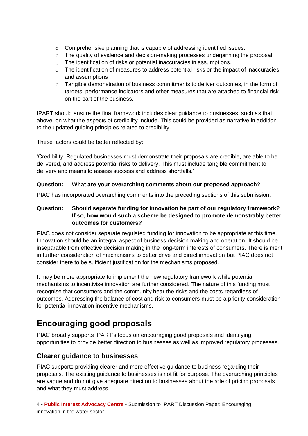- o Comprehensive planning that is capable of addressing identified issues.
- $\circ$  The quality of evidence and decision-making processes underpinning the proposal.
- o The identification of risks or potential inaccuracies in assumptions.
- $\circ$  The identification of measures to address potential risks or the impact of inaccuracies and assumptions
- $\circ$  Tangible demonstration of business commitments to deliver outcomes, in the form of targets, performance indicators and other measures that are attached to financial risk on the part of the business.

IPART should ensure the final framework includes clear guidance to businesses, such as that above, on what the aspects of credibility include. This could be provided as narrative in addition to the updated guiding principles related to credibility.

These factors could be better reflected by:

'Credibility. Regulated businesses must demonstrate their proposals are credible, are able to be delivered, and address potential risks to delivery. This must include tangible commitment to delivery and means to assess success and address shortfalls.'

#### **Question: What are your overarching comments about our proposed approach?**

PIAC has incorporated overarching comments into the preceding sections of this submission.

#### **Question: Should separate funding for innovation be part of our regulatory framework? If so, how would such a scheme be designed to promote demonstrably better outcomes for customers?**

PIAC does not consider separate regulated funding for innovation to be appropriate at this time. Innovation should be an integral aspect of business decision making and operation. It should be inseparable from effective decision making in the long-term interests of consumers. There is merit in further consideration of mechanisms to better drive and direct innovation but PIAC does not consider there to be sufficient justification for the mechanisms proposed.

It may be more appropriate to implement the new regulatory framework while potential mechanisms to incentivise innovation are further considered. The nature of this funding must recognise that consumers and the community bear the risks and the costs regardless of outcomes. Addressing the balance of cost and risk to consumers must be a priority consideration for potential innovation incentive mechanisms.

# **Encouraging good proposals**

PIAC broadly supports IPART's focus on encouraging good proposals and identifying opportunities to provide better direction to businesses as well as improved regulatory processes.

## **Clearer guidance to businesses**

PIAC supports providing clearer and more effective guidance to business regarding their proposals. The existing guidance to businesses is not fit for purpose. The overarching principles are vague and do not give adequate direction to businesses about the role of pricing proposals and what they must address.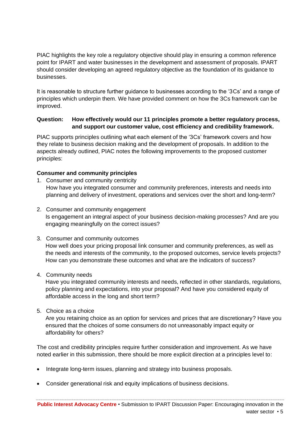PIAC highlights the key role a regulatory objective should play in ensuring a common reference point for IPART and water businesses in the development and assessment of proposals. IPART should consider developing an agreed regulatory objective as the foundation of its guidance to businesses.

It is reasonable to structure further guidance to businesses according to the '3Cs' and a range of principles which underpin them. We have provided comment on how the 3Cs framework can be improved.

#### **Question: How effectively would our 11 principles promote a better regulatory process, and support our customer value, cost efficiency and credibility framework.**

PIAC supports principles outlining what each element of the '3Cs' framework covers and how they relate to business decision making and the development of proposals. In addition to the aspects already outlined, PIAC notes the following improvements to the proposed customer principles:

#### **Consumer and community principles**

- 1. Consumer and community centricity How have you integrated consumer and community preferences, interests and needs into planning and delivery of investment, operations and services over the short and long-term?
- 2. Consumer and community engagement Is engagement an integral aspect of your business decision-making processes? And are you engaging meaningfully on the correct issues?
- 3. Consumer and community outcomes How well does your pricing proposal link consumer and community preferences, as well as the needs and interests of the community, to the proposed outcomes, service levels projects? How can you demonstrate these outcomes and what are the indicators of success?
- 4. Community needs

Have you integrated community interests and needs, reflected in other standards, regulations, policy planning and expectations, into your proposal? And have you considered equity of affordable access in the long and short term?

5. Choice as a choice

Are you retaining choice as an option for services and prices that are discretionary? Have you ensured that the choices of some consumers do not unreasonably impact equity or affordability for others?

The cost and credibility principles require further consideration and improvement. As we have noted earlier in this submission, there should be more explicit direction at a principles level to:

- Integrate long-term issues, planning and strategy into business proposals.
- Consider generational risk and equity implications of business decisions.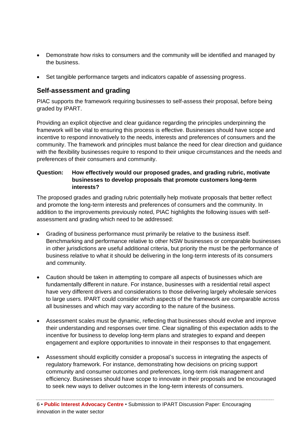- Demonstrate how risks to consumers and the community will be identified and managed by the business.
- Set tangible performance targets and indicators capable of assessing progress.

### **Self-assessment and grading**

PIAC supports the framework requiring businesses to self-assess their proposal, before being graded by IPART.

Providing an explicit objective and clear guidance regarding the principles underpinning the framework will be vital to ensuring this process is effective. Businesses should have scope and incentive to respond innovatively to the needs, interests and preferences of consumers and the community. The framework and principles must balance the need for clear direction and guidance with the flexibility businesses require to respond to their unique circumstances and the needs and preferences of their consumers and community.

#### **Question: How effectively would our proposed grades, and grading rubric, motivate businesses to develop proposals that promote customers long-term interests?**

The proposed grades and grading rubric potentially help motivate proposals that better reflect and promote the long-term interests and preferences of consumers and the community. In addition to the improvements previously noted, PIAC highlights the following issues with selfassessment and grading which need to be addressed:

- Grading of business performance must primarily be relative to the business itself. Benchmarking and performance relative to other NSW businesses or comparable businesses in other jurisdictions are useful additional criteria, but priority the must be the performance of business relative to what it should be delivering in the long-term interests of its consumers and community.
- Caution should be taken in attempting to compare all aspects of businesses which are fundamentally different in nature. For instance, businesses with a residential retail aspect have very different drivers and considerations to those delivering largely wholesale services to large users. IPART could consider which aspects of the framework are comparable across all businesses and which may vary according to the nature of the business.
- Assessment scales must be dynamic, reflecting that businesses should evolve and improve their understanding and responses over time. Clear signalling of this expectation adds to the incentive for business to develop long-term plans and strategies to expand and deepen engagement and explore opportunities to innovate in their responses to that engagement.
- Assessment should explicitly consider a proposal's success in integrating the aspects of regulatory framework. For instance, demonstrating how decisions on pricing support community and consumer outcomes and preferences, long-term risk management and efficiency. Businesses should have scope to innovate in their proposals and be encouraged to seek new ways to deliver outcomes in the long-term interests of consumers.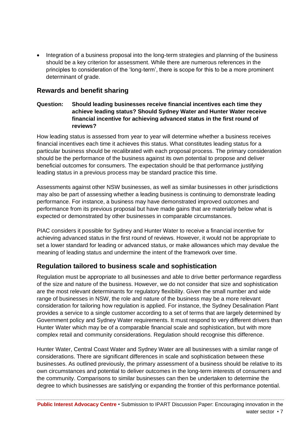• Integration of a business proposal into the long-term strategies and planning of the business should be a key criterion for assessment. While there are numerous references in the principles to consideration of the 'long-term', there is scope for this to be a more prominent determinant of grade.

### **Rewards and benefit sharing**

#### **Question: Should leading businesses receive financial incentives each time they achieve leading status? Should Sydney Water and Hunter Water receive financial incentive for achieving advanced status in the first round of reviews?**

How leading status is assessed from year to year will determine whether a business receives financial incentives each time it achieves this status. What constitutes leading status for a particular business should be recalibrated with each proposal process. The primary consideration should be the performance of the business against its own potential to propose and deliver beneficial outcomes for consumers. The expectation should be that performance justifying leading status in a previous process may be standard practice this time.

Assessments against other NSW businesses, as well as similar businesses in other jurisdictions may also be part of assessing whether a leading business is continuing to demonstrate leading performance. For instance, a business may have demonstrated improved outcomes and performance from its previous proposal but have made gains that are materially below what is expected or demonstrated by other businesses in comparable circumstances.

PIAC considers it possible for Sydney and Hunter Water to receive a financial incentive for achieving advanced status in the first round of reviews. However, it would not be appropriate to set a lower standard for leading or advanced status, or make allowances which may devalue the meaning of leading status and undermine the intent of the framework over time.

## **Regulation tailored to business scale and sophistication**

Regulation must be appropriate to all businesses and able to drive better performance regardless of the size and nature of the business. However, we do not consider that size and sophistication are the most relevant determinants for regulatory flexibility. Given the small number and wide range of businesses in NSW, the role and nature of the business may be a more relevant consideration for tailoring how regulation is applied. For instance, the Sydney Desalination Plant provides a service to a single customer according to a set of terms that are largely determined by Government policy and Sydney Water requirements. It must respond to very different drivers than Hunter Water which may be of a comparable financial scale and sophistication, but with more complex retail and community considerations. Regulation should recognise this difference.

Hunter Water, Central Coast Water and Sydney Water are all businesses with a similar range of considerations. There are significant differences in scale and sophistication between these businesses. As outlined previously, the primary assessment of a business should be relative to its own circumstances and potential to deliver outcomes in the long-term interests of consumers and the community. Comparisons to similar businesses can then be undertaken to determine the degree to which businesses are satisfying or expanding the frontier of this performance potential.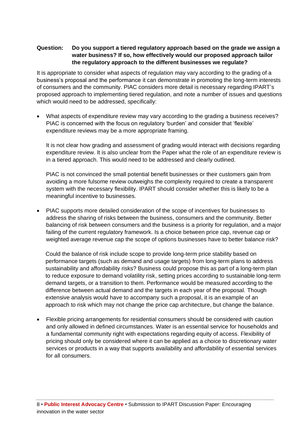#### **Question: Do you support a tiered regulatory approach based on the grade we assign a water business? If so, how effectively would our proposed approach tailor the regulatory approach to the different businesses we regulate?**

It is appropriate to consider what aspects of regulation may vary according to the grading of a business's proposal and the performance it can demonstrate in promoting the long-term interests of consumers and the community. PIAC considers more detail is necessary regarding IPART's proposed approach to implementing tiered regulation, and note a number of issues and questions which would need to be addressed, specifically:

• What aspects of expenditure review may vary according to the grading a business receives? PIAC is concerned with the focus on regulatory 'burden' and consider that 'flexible' expenditure reviews may be a more appropriate framing.

It is not clear how grading and assessment of grading would interact with decisions regarding expenditure review. It is also unclear from the Paper what the role of an expenditure review is in a tiered approach. This would need to be addressed and clearly outlined.

PIAC is not convinced the small potential benefit businesses or their customers gain from avoiding a more fulsome review outweighs the complexity required to create a transparent system with the necessary flexibility. IPART should consider whether this is likely to be a meaningful incentive to businesses.

• PIAC supports more detailed consideration of the scope of incentives for businesses to address the sharing of risks between the business, consumers and the community. Better balancing of risk between consumers and the business is a priority for regulation, and a major failing of the current regulatory framework. Is a choice between price cap, revenue cap or weighted average revenue cap the scope of options businesses have to better balance risk?

Could the balance of risk include scope to provide long-term price stability based on performance targets (such as demand and usage targets) from long-term plans to address sustainability and affordability risks? Business could propose this as part of a long-term plan to reduce exposure to demand volatility risk, setting prices according to sustainable long-term demand targets, or a transition to them. Performance would be measured according to the difference between actual demand and the targets in each year of the proposal. Though extensive analysis would have to accompany such a proposal, it is an example of an approach to risk which may not change the price cap architecture, but change the balance.

• Flexible pricing arrangements for residential consumers should be considered with caution and only allowed in defined circumstances. Water is an essential service for households and a fundamental community right with expectations regarding equity of access. Flexibility of pricing should only be considered where it can be applied as a choice to discretionary water services or products in a way that supports availability and affordability of essential services for all consumers.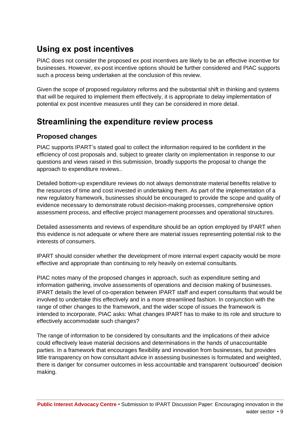## **Using ex post incentives**

PIAC does not consider the proposed ex post incentives are likely to be an effective incentive for businesses. However, ex-post incentive options should be further considered and PIAC supports such a process being undertaken at the conclusion of this review.

Given the scope of proposed regulatory reforms and the substantial shift in thinking and systems that will be required to implement them effectively, it is appropriate to delay implementation of potential ex post incentive measures until they can be considered in more detail.

## **Streamlining the expenditure review process**

### **Proposed changes**

PIAC supports IPART's stated goal to collect the information required to be confident in the efficiency of cost proposals and, subject to greater clarity on implementation in response to our questions and views raised in this submission, broadly supports the proposal to change the approach to expenditure reviews..

Detailed bottom-up expenditure reviews do not always demonstrate material benefits relative to the resources of time and cost invested in undertaking them. As part of the implementation of a new regulatory framework, businesses should be encouraged to provide the scope and quality of evidence necessary to demonstrate robust decision-making processes, comprehensive option assessment process, and effective project management processes and operational structures.

Detailed assessments and reviews of expenditure should be an option employed by IPART when this evidence is not adequate or where there are material issues representing potential risk to the interests of consumers.

IPART should consider whether the development of more internal expert capacity would be more effective and appropriate than continuing to rely heavily on external consultants.

PIAC notes many of the proposed changes in approach, such as expenditure setting and information gathering, involve assessments of operations and decision making of businesses. IPART details the level of co-operation between IPART staff and expert consultants that would be involved to undertake this effectively and in a more streamlined fashion. In conjunction with the range of other changes to the framework, and the wider scope of issues the framework is intended to incorporate, PIAC asks: What changes IPART has to make to its role and structure to effectively accommodate such changes?

The range of information to be considered by consultants and the implications of their advice could effectively leave material decisions and determinations in the hands of unaccountable parties. In a framework that encourages flexibility and innovation from businesses, but provides little transparency on how consultant advice in assessing businesses is formulated and weighted, there is danger for consumer outcomes in less accountable and transparent 'outsourced' decision making.

**Public Interest Advocacy Centre** • Submission to IPART Discussion Paper: Encouraging innovation in the water sector • 9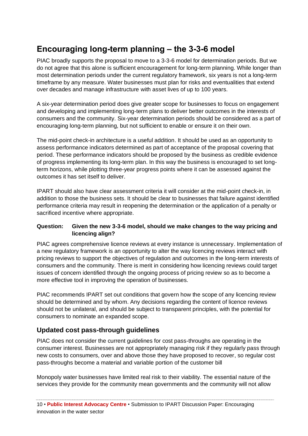# **Encouraging long-term planning – the 3-3-6 model**

PIAC broadly supports the proposal to move to a 3-3-6 model for determination periods. But we do not agree that this alone is sufficient encouragement for long-term planning. While longer than most determination periods under the current regulatory framework, six years is not a long-term timeframe by any measure. Water businesses must plan for risks and eventualities that extend over decades and manage infrastructure with asset lives of up to 100 years.

A six-year determination period does give greater scope for businesses to focus on engagement and developing and implementing long-term plans to deliver better outcomes in the interests of consumers and the community. Six-year determination periods should be considered as a part of encouraging long-term planning, but not sufficient to enable or ensure it on their own.

The mid-point check-in architecture is a useful addition. It should be used as an opportunity to assess performance indicators determined as part of acceptance of the proposal covering that period. These performance indicators should be proposed by the business as credible evidence of progress implementing its long-term plan. In this way the business is encouraged to set longterm horizons, while plotting three-year progress points where it can be assessed against the outcomes it has set itself to deliver.

IPART should also have clear assessment criteria it will consider at the mid-point check-in, in addition to those the business sets. It should be clear to businesses that failure against identified performance criteria may result in reopening the determination or the application of a penalty or sacrificed incentive where appropriate.

#### **Question: Given the new 3-3-6 model, should we make changes to the way pricing and licencing align?**

PIAC agrees comprehensive licence reviews at every instance is unnecessary. Implementation of a new regulatory framework is an opportunity to alter the way licencing reviews interact with pricing reviews to support the objectives of regulation and outcomes in the long-term interests of consumers and the community. There is merit in considering how licencing reviews could target issues of concern identified through the ongoing process of pricing review so as to become a more effective tool in improving the operation of businesses.

PIAC recommends IPART set out conditions that govern how the scope of any licencing review should be determined and by whom. Any decisions regarding the content of licence reviews should not be unilateral, and should be subject to transparent principles, with the potential for consumers to nominate an expanded scope.

## **Updated cost pass-through guidelines**

PIAC does not consider the current guidelines for cost pass-throughs are operating in the consumer interest. Businesses are not appropriately managing risk if they regularly pass through new costs to consumers, over and above those they have proposed to recover, so regular cost pass-throughs become a material and variable portion of the customer bill

Monopoly water businesses have limited real risk to their viability. The essential nature of the services they provide for the community mean governments and the community will not allow